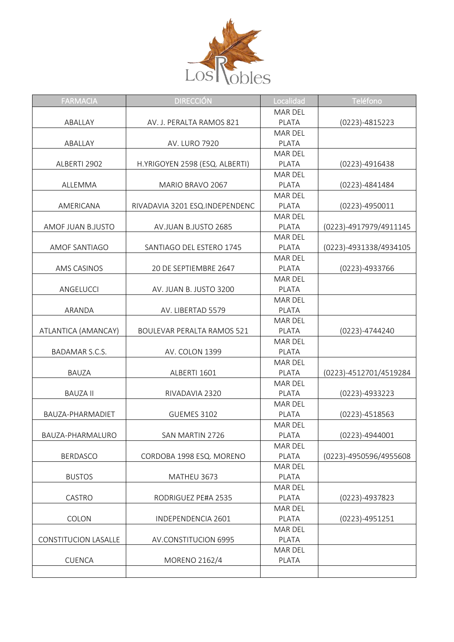

| <b>FARMACIA</b>             | <b>DIRECCIÓN</b>                  | Localidad               | Teléfono               |
|-----------------------------|-----------------------------------|-------------------------|------------------------|
|                             |                                   | <b>MAR DEL</b>          |                        |
| ABALLAY                     | AV. J. PERALTA RAMOS 821          | PLATA                   | (0223)-4815223         |
|                             |                                   | <b>MAR DEL</b>          |                        |
| ABALLAY                     | <b>AV. LURO 7920</b>              | PLATA                   |                        |
|                             |                                   | <b>MAR DEL</b>          |                        |
| ALBERTI 2902                | H.YRIGOYEN 2598 (ESQ. ALBERTI)    | PLATA                   | $(0223) - 4916438$     |
|                             |                                   | <b>MAR DEL</b>          |                        |
| ALLEMMA                     | MARIO BRAVO 2067                  | <b>PLATA</b>            | (0223)-4841484         |
|                             |                                   | <b>MAR DEL</b>          |                        |
| AMERICANA                   | RIVADAVIA 3201 ESQ.INDEPENDENC    | PLATA                   | $(0223) - 4950011$     |
|                             |                                   | MAR DEL                 |                        |
| AMOF JUAN B.JUSTO           | AV.JUAN B.JUSTO 2685              | PLATA                   | (0223)-4917979/4911145 |
|                             |                                   | <b>MAR DEL</b>          |                        |
| AMOF SANTIAGO               | SANTIAGO DEL ESTERO 1745          | PLATA                   | (0223)-4931338/4934105 |
|                             |                                   | <b>MAR DEL</b>          |                        |
| AMS CASINOS                 | 20 DE SEPTIEMBRE 2647             | PLATA<br><b>MAR DEL</b> | (0223)-4933766         |
| ANGELUCCI                   | AV. JUAN B. JUSTO 3200            | PLATA                   |                        |
|                             |                                   | <b>MAR DEL</b>          |                        |
| ARANDA                      | AV. LIBERTAD 5579                 | PLATA                   |                        |
|                             |                                   | <b>MAR DEL</b>          |                        |
| ATLANTICA (AMANCAY)         | <b>BOULEVAR PERALTA RAMOS 521</b> | PLATA                   | (0223)-4744240         |
|                             |                                   | <b>MAR DEL</b>          |                        |
| BADAMAR S.C.S.              | AV. COLON 1399                    | PLATA                   |                        |
|                             |                                   | <b>MAR DEL</b>          |                        |
| <b>BAUZA</b>                | ALBERTI 1601                      | PLATA                   | (0223)-4512701/4519284 |
|                             |                                   | MAR DEL                 |                        |
| <b>BAUZA II</b>             | RIVADAVIA 2320                    | PLATA                   | (0223)-4933223         |
|                             |                                   | <b>MAR DEL</b>          |                        |
| BAUZA-PHARMADIET            | <b>GUEMES 3102</b>                | PLATA                   | $(0223) - 4518563$     |
|                             |                                   | MAR DEL                 |                        |
| BAUZA-PHARMALURO            | SAN MARTIN 2726                   | PLATA                   | $(0223) - 4944001$     |
|                             |                                   | MAR DEL                 |                        |
| <b>BERDASCO</b>             | CORDOBA 1998 ESQ. MORENO          | PLATA                   | (0223)-4950596/4955608 |
|                             |                                   | MAR DEL                 |                        |
| <b>BUSTOS</b>               | MATHEU 3673                       | PLATA                   |                        |
|                             |                                   | <b>MAR DEL</b>          |                        |
| CASTRO                      | RODRIGUEZ PE#A 2535               | PLATA                   | $(0223) - 4937823$     |
|                             |                                   | <b>MAR DEL</b>          |                        |
| COLON                       | INDEPENDENCIA 2601                | PLATA                   | (0223)-4951251         |
|                             |                                   | <b>MAR DEL</b>          |                        |
| <b>CONSTITUCION LASALLE</b> | AV.CONSTITUCION 6995              | PLATA                   |                        |
|                             |                                   | <b>MAR DEL</b>          |                        |
| CUENCA                      | MORENO 2162/4                     | PLATA                   |                        |
|                             |                                   |                         |                        |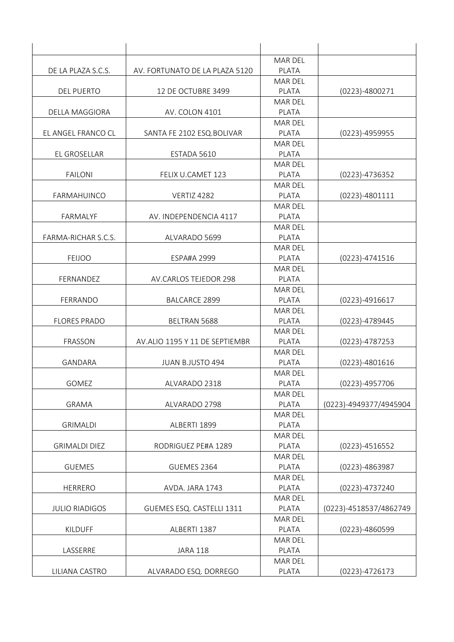|                       |                                | <b>MAR DEL</b> |                        |
|-----------------------|--------------------------------|----------------|------------------------|
| DE LA PLAZA S.C.S.    | AV. FORTUNATO DE LA PLAZA 5120 | PLATA          |                        |
|                       |                                | <b>MAR DEL</b> |                        |
| <b>DEL PUERTO</b>     | 12 DE OCTUBRE 3499             | PLATA          | (0223)-4800271         |
|                       |                                | <b>MAR DEL</b> |                        |
| <b>DELLA MAGGIORA</b> | AV. COLON 4101                 | PLATA          |                        |
|                       |                                | <b>MAR DEL</b> |                        |
| EL ANGEL FRANCO CL    | SANTA FE 2102 ESQ. BOLIVAR     | PLATA          | (0223)-4959955         |
|                       |                                | <b>MAR DEL</b> |                        |
| EL GROSELLAR          | ESTADA 5610                    | PLATA          |                        |
|                       |                                | <b>MAR DEL</b> |                        |
| <b>FAILONI</b>        | FELIX U.CAMET 123              | PLATA          | $(0223) - 4736352$     |
|                       |                                | <b>MAR DEL</b> |                        |
| FARMAHUINCO           | VERTIZ 4282                    | PLATA          | $(0223) - 4801111$     |
|                       |                                | <b>MAR DEL</b> |                        |
| FARMALYF              | AV. INDEPENDENCIA 4117         | PLATA          |                        |
|                       |                                | <b>MAR DEL</b> |                        |
| FARMA-RICHAR S.C.S.   | ALVARADO 5699                  | PLATA          |                        |
|                       |                                | <b>MAR DEL</b> |                        |
| <b>FEIJOO</b>         | <b>ESPA#A 2999</b>             | PLATA          | $(0223) - 4741516$     |
|                       |                                | <b>MAR DEL</b> |                        |
| FERNANDEZ             | AV.CARLOS TEJEDOR 298          | PLATA          |                        |
|                       |                                | <b>MAR DEL</b> |                        |
| FERRANDO              | <b>BALCARCE 2899</b>           | PLATA          | $(0223) - 4916617$     |
|                       |                                | <b>MAR DEL</b> |                        |
| <b>FLORES PRADO</b>   | BELTRAN 5688                   | PLATA          | (0223)-4789445         |
|                       |                                | <b>MAR DEL</b> |                        |
| FRASSON               | AV.ALIO 1195 Y 11 DE SEPTIEMBR | PLATA          | (0223)-4787253         |
|                       |                                | MAR DEL        |                        |
| GANDARA               | JUAN B.JUSTO 494               | PLATA          | $(0223) - 4801616$     |
|                       |                                | MAR DEL        |                        |
| <b>GOMEZ</b>          | ALVARADO 2318                  | PLATA          | (0223)-4957706         |
|                       |                                | <b>MAR DEL</b> |                        |
| <b>GRAMA</b>          | ALVARADO 2798                  | PLATA          | (0223)-4949377/4945904 |
|                       |                                | <b>MAR DEL</b> |                        |
| <b>GRIMALDI</b>       | ALBERTI 1899                   | PLATA          |                        |
|                       |                                | MAR DEL        |                        |
| <b>GRIMALDI DIEZ</b>  | RODRIGUEZ PE#A 1289            | PLATA          | (0223)-4516552         |
|                       |                                | <b>MAR DEL</b> |                        |
| <b>GUEMES</b>         | GUEMES 2364                    | <b>PLATA</b>   | (0223)-4863987         |
|                       |                                | MAR DEL        |                        |
| <b>HERRERO</b>        | AVDA. JARA 1743                | PLATA          | (0223)-4737240         |
|                       |                                | MAR DEL        |                        |
| <b>JULIO RIADIGOS</b> | GUEMES ESQ. CASTELLI 1311      | PLATA          | (0223)-4518537/4862749 |
|                       |                                | MAR DEL        |                        |
| <b>KILDUFF</b>        | ALBERTI 1387                   | PLATA          | (0223)-4860599         |
|                       |                                | MAR DEL        |                        |
| LASSERRE              | <b>JARA 118</b>                | PLATA          |                        |
|                       |                                | MAR DEL        |                        |
| LILIANA CASTRO        | ALVARADO ESQ. DORREGO          | PLATA          | (0223)-4726173         |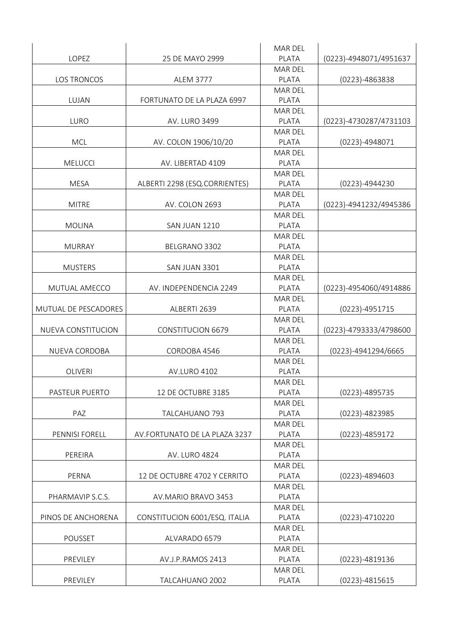| <b>MAR DEL</b><br><b>LOS TRONCOS</b><br><b>ALEM 3777</b><br>PLATA<br>(0223)-4863838<br><b>MAR DEL</b><br>LUJAN<br>FORTUNATO DE LA PLAZA 6997<br>PLATA<br><b>MAR DEL</b><br>LURO<br>PLATA<br><b>AV. LURO 3499</b><br>(0223)-4730287/4731103<br><b>MAR DEL</b><br><b>MCL</b><br>AV. COLON 1906/10/20<br>PLATA<br>(0223)-4948071<br><b>MAR DEL</b><br>PLATA<br><b>MELUCCI</b><br>AV. LIBERTAD 4109<br><b>MAR DEL</b><br>PLATA<br><b>MESA</b><br>ALBERTI 2298 (ESQ.CORRIENTES)<br>(0223)-4944230<br>MAR DEL<br><b>MITRE</b><br>AV. COLON 2693<br>PLATA<br>(0223)-4941232/4945386<br>MAR DEL<br><b>MOLINA</b><br>SAN JUAN 1210<br>PLATA<br><b>MAR DEL</b><br>PLATA<br><b>MURRAY</b><br>BELGRANO 3302<br><b>MAR DEL</b><br><b>MUSTERS</b><br>SAN JUAN 3301<br>PLATA<br><b>MAR DEL</b><br>PLATA<br>(0223)-4954060/4914886<br>MUTUAL AMECCO<br>AV. INDEPENDENCIA 2249<br><b>MAR DEL</b><br>ALBERTI 2639<br>PLATA<br>MUTUAL DE PESCADORES<br>(0223)-4951715<br><b>MAR DEL</b><br>PLATA<br>NUEVA CONSTITUCION<br><b>CONSTITUCION 6679</b><br>(0223)-4793333/4798600<br><b>MAR DEL</b><br>PLATA<br>(0223)-4941294/6665<br>NUEVA CORDOBA<br>CORDOBA 4546<br><b>MAR DEL</b><br>OLIVERI<br><b>AV.LURO 4102</b><br>PLATA<br><b>MAR DEL</b><br>PASTEUR PUERTO<br><b>PLATA</b><br>(0223)-4895735<br>12 DE OCTUBRE 3185<br><b>MAR DEL</b><br>PAZ<br>TALCAHUANO 793<br>PLATA<br>(0223)-4823985<br>MAR DEL<br>PENNISI FORELL<br>AV.FORTUNATO DE LA PLAZA 3237<br>PLATA<br>(0223)-4859172<br><b>MAR DEL</b><br>PLATA<br>PEREIRA<br>AV. LURO 4824<br><b>MAR DEL</b><br>PERNA<br>12 DE OCTUBRE 4702 Y CERRITO<br>PLATA<br>(0223)-4894603<br><b>MAR DEL</b><br>PHARMAVIP S.C.S.<br>AV.MARIO BRAVO 3453<br>PLATA<br><b>MAR DEL</b><br>PLATA<br>PINOS DE ANCHORENA<br>CONSTITUCION 6001/ESQ. ITALIA<br>(0223)-4710220<br><b>MAR DEL</b><br><b>POUSSET</b><br>PLATA<br>ALVARADO 6579<br><b>MAR DEL</b><br>PREVILEY<br>AV.J.P.RAMOS 2413<br>PLATA<br>(0223)-4819136<br>MAR DEL<br>PREVILEY<br>TALCAHUANO 2002<br>PLATA<br>$(0223) - 4815615$ |       |                 | MAR DEL |                        |
|------------------------------------------------------------------------------------------------------------------------------------------------------------------------------------------------------------------------------------------------------------------------------------------------------------------------------------------------------------------------------------------------------------------------------------------------------------------------------------------------------------------------------------------------------------------------------------------------------------------------------------------------------------------------------------------------------------------------------------------------------------------------------------------------------------------------------------------------------------------------------------------------------------------------------------------------------------------------------------------------------------------------------------------------------------------------------------------------------------------------------------------------------------------------------------------------------------------------------------------------------------------------------------------------------------------------------------------------------------------------------------------------------------------------------------------------------------------------------------------------------------------------------------------------------------------------------------------------------------------------------------------------------------------------------------------------------------------------------------------------------------------------------------------------------------------------------------------------------------------------------------------------------------------------------------------------------------------------------------------------------------------|-------|-----------------|---------|------------------------|
|                                                                                                                                                                                                                                                                                                                                                                                                                                                                                                                                                                                                                                                                                                                                                                                                                                                                                                                                                                                                                                                                                                                                                                                                                                                                                                                                                                                                                                                                                                                                                                                                                                                                                                                                                                                                                                                                                                                                                                                                                  | LOPEZ | 25 DE MAYO 2999 | PLATA   | (0223)-4948071/4951637 |
|                                                                                                                                                                                                                                                                                                                                                                                                                                                                                                                                                                                                                                                                                                                                                                                                                                                                                                                                                                                                                                                                                                                                                                                                                                                                                                                                                                                                                                                                                                                                                                                                                                                                                                                                                                                                                                                                                                                                                                                                                  |       |                 |         |                        |
|                                                                                                                                                                                                                                                                                                                                                                                                                                                                                                                                                                                                                                                                                                                                                                                                                                                                                                                                                                                                                                                                                                                                                                                                                                                                                                                                                                                                                                                                                                                                                                                                                                                                                                                                                                                                                                                                                                                                                                                                                  |       |                 |         |                        |
|                                                                                                                                                                                                                                                                                                                                                                                                                                                                                                                                                                                                                                                                                                                                                                                                                                                                                                                                                                                                                                                                                                                                                                                                                                                                                                                                                                                                                                                                                                                                                                                                                                                                                                                                                                                                                                                                                                                                                                                                                  |       |                 |         |                        |
|                                                                                                                                                                                                                                                                                                                                                                                                                                                                                                                                                                                                                                                                                                                                                                                                                                                                                                                                                                                                                                                                                                                                                                                                                                                                                                                                                                                                                                                                                                                                                                                                                                                                                                                                                                                                                                                                                                                                                                                                                  |       |                 |         |                        |
|                                                                                                                                                                                                                                                                                                                                                                                                                                                                                                                                                                                                                                                                                                                                                                                                                                                                                                                                                                                                                                                                                                                                                                                                                                                                                                                                                                                                                                                                                                                                                                                                                                                                                                                                                                                                                                                                                                                                                                                                                  |       |                 |         |                        |
|                                                                                                                                                                                                                                                                                                                                                                                                                                                                                                                                                                                                                                                                                                                                                                                                                                                                                                                                                                                                                                                                                                                                                                                                                                                                                                                                                                                                                                                                                                                                                                                                                                                                                                                                                                                                                                                                                                                                                                                                                  |       |                 |         |                        |
|                                                                                                                                                                                                                                                                                                                                                                                                                                                                                                                                                                                                                                                                                                                                                                                                                                                                                                                                                                                                                                                                                                                                                                                                                                                                                                                                                                                                                                                                                                                                                                                                                                                                                                                                                                                                                                                                                                                                                                                                                  |       |                 |         |                        |
|                                                                                                                                                                                                                                                                                                                                                                                                                                                                                                                                                                                                                                                                                                                                                                                                                                                                                                                                                                                                                                                                                                                                                                                                                                                                                                                                                                                                                                                                                                                                                                                                                                                                                                                                                                                                                                                                                                                                                                                                                  |       |                 |         |                        |
|                                                                                                                                                                                                                                                                                                                                                                                                                                                                                                                                                                                                                                                                                                                                                                                                                                                                                                                                                                                                                                                                                                                                                                                                                                                                                                                                                                                                                                                                                                                                                                                                                                                                                                                                                                                                                                                                                                                                                                                                                  |       |                 |         |                        |
|                                                                                                                                                                                                                                                                                                                                                                                                                                                                                                                                                                                                                                                                                                                                                                                                                                                                                                                                                                                                                                                                                                                                                                                                                                                                                                                                                                                                                                                                                                                                                                                                                                                                                                                                                                                                                                                                                                                                                                                                                  |       |                 |         |                        |
|                                                                                                                                                                                                                                                                                                                                                                                                                                                                                                                                                                                                                                                                                                                                                                                                                                                                                                                                                                                                                                                                                                                                                                                                                                                                                                                                                                                                                                                                                                                                                                                                                                                                                                                                                                                                                                                                                                                                                                                                                  |       |                 |         |                        |
|                                                                                                                                                                                                                                                                                                                                                                                                                                                                                                                                                                                                                                                                                                                                                                                                                                                                                                                                                                                                                                                                                                                                                                                                                                                                                                                                                                                                                                                                                                                                                                                                                                                                                                                                                                                                                                                                                                                                                                                                                  |       |                 |         |                        |
|                                                                                                                                                                                                                                                                                                                                                                                                                                                                                                                                                                                                                                                                                                                                                                                                                                                                                                                                                                                                                                                                                                                                                                                                                                                                                                                                                                                                                                                                                                                                                                                                                                                                                                                                                                                                                                                                                                                                                                                                                  |       |                 |         |                        |
|                                                                                                                                                                                                                                                                                                                                                                                                                                                                                                                                                                                                                                                                                                                                                                                                                                                                                                                                                                                                                                                                                                                                                                                                                                                                                                                                                                                                                                                                                                                                                                                                                                                                                                                                                                                                                                                                                                                                                                                                                  |       |                 |         |                        |
|                                                                                                                                                                                                                                                                                                                                                                                                                                                                                                                                                                                                                                                                                                                                                                                                                                                                                                                                                                                                                                                                                                                                                                                                                                                                                                                                                                                                                                                                                                                                                                                                                                                                                                                                                                                                                                                                                                                                                                                                                  |       |                 |         |                        |
|                                                                                                                                                                                                                                                                                                                                                                                                                                                                                                                                                                                                                                                                                                                                                                                                                                                                                                                                                                                                                                                                                                                                                                                                                                                                                                                                                                                                                                                                                                                                                                                                                                                                                                                                                                                                                                                                                                                                                                                                                  |       |                 |         |                        |
|                                                                                                                                                                                                                                                                                                                                                                                                                                                                                                                                                                                                                                                                                                                                                                                                                                                                                                                                                                                                                                                                                                                                                                                                                                                                                                                                                                                                                                                                                                                                                                                                                                                                                                                                                                                                                                                                                                                                                                                                                  |       |                 |         |                        |
|                                                                                                                                                                                                                                                                                                                                                                                                                                                                                                                                                                                                                                                                                                                                                                                                                                                                                                                                                                                                                                                                                                                                                                                                                                                                                                                                                                                                                                                                                                                                                                                                                                                                                                                                                                                                                                                                                                                                                                                                                  |       |                 |         |                        |
|                                                                                                                                                                                                                                                                                                                                                                                                                                                                                                                                                                                                                                                                                                                                                                                                                                                                                                                                                                                                                                                                                                                                                                                                                                                                                                                                                                                                                                                                                                                                                                                                                                                                                                                                                                                                                                                                                                                                                                                                                  |       |                 |         |                        |
|                                                                                                                                                                                                                                                                                                                                                                                                                                                                                                                                                                                                                                                                                                                                                                                                                                                                                                                                                                                                                                                                                                                                                                                                                                                                                                                                                                                                                                                                                                                                                                                                                                                                                                                                                                                                                                                                                                                                                                                                                  |       |                 |         |                        |
|                                                                                                                                                                                                                                                                                                                                                                                                                                                                                                                                                                                                                                                                                                                                                                                                                                                                                                                                                                                                                                                                                                                                                                                                                                                                                                                                                                                                                                                                                                                                                                                                                                                                                                                                                                                                                                                                                                                                                                                                                  |       |                 |         |                        |
|                                                                                                                                                                                                                                                                                                                                                                                                                                                                                                                                                                                                                                                                                                                                                                                                                                                                                                                                                                                                                                                                                                                                                                                                                                                                                                                                                                                                                                                                                                                                                                                                                                                                                                                                                                                                                                                                                                                                                                                                                  |       |                 |         |                        |
|                                                                                                                                                                                                                                                                                                                                                                                                                                                                                                                                                                                                                                                                                                                                                                                                                                                                                                                                                                                                                                                                                                                                                                                                                                                                                                                                                                                                                                                                                                                                                                                                                                                                                                                                                                                                                                                                                                                                                                                                                  |       |                 |         |                        |
|                                                                                                                                                                                                                                                                                                                                                                                                                                                                                                                                                                                                                                                                                                                                                                                                                                                                                                                                                                                                                                                                                                                                                                                                                                                                                                                                                                                                                                                                                                                                                                                                                                                                                                                                                                                                                                                                                                                                                                                                                  |       |                 |         |                        |
|                                                                                                                                                                                                                                                                                                                                                                                                                                                                                                                                                                                                                                                                                                                                                                                                                                                                                                                                                                                                                                                                                                                                                                                                                                                                                                                                                                                                                                                                                                                                                                                                                                                                                                                                                                                                                                                                                                                                                                                                                  |       |                 |         |                        |
|                                                                                                                                                                                                                                                                                                                                                                                                                                                                                                                                                                                                                                                                                                                                                                                                                                                                                                                                                                                                                                                                                                                                                                                                                                                                                                                                                                                                                                                                                                                                                                                                                                                                                                                                                                                                                                                                                                                                                                                                                  |       |                 |         |                        |
|                                                                                                                                                                                                                                                                                                                                                                                                                                                                                                                                                                                                                                                                                                                                                                                                                                                                                                                                                                                                                                                                                                                                                                                                                                                                                                                                                                                                                                                                                                                                                                                                                                                                                                                                                                                                                                                                                                                                                                                                                  |       |                 |         |                        |
|                                                                                                                                                                                                                                                                                                                                                                                                                                                                                                                                                                                                                                                                                                                                                                                                                                                                                                                                                                                                                                                                                                                                                                                                                                                                                                                                                                                                                                                                                                                                                                                                                                                                                                                                                                                                                                                                                                                                                                                                                  |       |                 |         |                        |
|                                                                                                                                                                                                                                                                                                                                                                                                                                                                                                                                                                                                                                                                                                                                                                                                                                                                                                                                                                                                                                                                                                                                                                                                                                                                                                                                                                                                                                                                                                                                                                                                                                                                                                                                                                                                                                                                                                                                                                                                                  |       |                 |         |                        |
|                                                                                                                                                                                                                                                                                                                                                                                                                                                                                                                                                                                                                                                                                                                                                                                                                                                                                                                                                                                                                                                                                                                                                                                                                                                                                                                                                                                                                                                                                                                                                                                                                                                                                                                                                                                                                                                                                                                                                                                                                  |       |                 |         |                        |
|                                                                                                                                                                                                                                                                                                                                                                                                                                                                                                                                                                                                                                                                                                                                                                                                                                                                                                                                                                                                                                                                                                                                                                                                                                                                                                                                                                                                                                                                                                                                                                                                                                                                                                                                                                                                                                                                                                                                                                                                                  |       |                 |         |                        |
|                                                                                                                                                                                                                                                                                                                                                                                                                                                                                                                                                                                                                                                                                                                                                                                                                                                                                                                                                                                                                                                                                                                                                                                                                                                                                                                                                                                                                                                                                                                                                                                                                                                                                                                                                                                                                                                                                                                                                                                                                  |       |                 |         |                        |
|                                                                                                                                                                                                                                                                                                                                                                                                                                                                                                                                                                                                                                                                                                                                                                                                                                                                                                                                                                                                                                                                                                                                                                                                                                                                                                                                                                                                                                                                                                                                                                                                                                                                                                                                                                                                                                                                                                                                                                                                                  |       |                 |         |                        |
|                                                                                                                                                                                                                                                                                                                                                                                                                                                                                                                                                                                                                                                                                                                                                                                                                                                                                                                                                                                                                                                                                                                                                                                                                                                                                                                                                                                                                                                                                                                                                                                                                                                                                                                                                                                                                                                                                                                                                                                                                  |       |                 |         |                        |
|                                                                                                                                                                                                                                                                                                                                                                                                                                                                                                                                                                                                                                                                                                                                                                                                                                                                                                                                                                                                                                                                                                                                                                                                                                                                                                                                                                                                                                                                                                                                                                                                                                                                                                                                                                                                                                                                                                                                                                                                                  |       |                 |         |                        |
|                                                                                                                                                                                                                                                                                                                                                                                                                                                                                                                                                                                                                                                                                                                                                                                                                                                                                                                                                                                                                                                                                                                                                                                                                                                                                                                                                                                                                                                                                                                                                                                                                                                                                                                                                                                                                                                                                                                                                                                                                  |       |                 |         |                        |
|                                                                                                                                                                                                                                                                                                                                                                                                                                                                                                                                                                                                                                                                                                                                                                                                                                                                                                                                                                                                                                                                                                                                                                                                                                                                                                                                                                                                                                                                                                                                                                                                                                                                                                                                                                                                                                                                                                                                                                                                                  |       |                 |         |                        |
|                                                                                                                                                                                                                                                                                                                                                                                                                                                                                                                                                                                                                                                                                                                                                                                                                                                                                                                                                                                                                                                                                                                                                                                                                                                                                                                                                                                                                                                                                                                                                                                                                                                                                                                                                                                                                                                                                                                                                                                                                  |       |                 |         |                        |
|                                                                                                                                                                                                                                                                                                                                                                                                                                                                                                                                                                                                                                                                                                                                                                                                                                                                                                                                                                                                                                                                                                                                                                                                                                                                                                                                                                                                                                                                                                                                                                                                                                                                                                                                                                                                                                                                                                                                                                                                                  |       |                 |         |                        |
|                                                                                                                                                                                                                                                                                                                                                                                                                                                                                                                                                                                                                                                                                                                                                                                                                                                                                                                                                                                                                                                                                                                                                                                                                                                                                                                                                                                                                                                                                                                                                                                                                                                                                                                                                                                                                                                                                                                                                                                                                  |       |                 |         |                        |
|                                                                                                                                                                                                                                                                                                                                                                                                                                                                                                                                                                                                                                                                                                                                                                                                                                                                                                                                                                                                                                                                                                                                                                                                                                                                                                                                                                                                                                                                                                                                                                                                                                                                                                                                                                                                                                                                                                                                                                                                                  |       |                 |         |                        |
|                                                                                                                                                                                                                                                                                                                                                                                                                                                                                                                                                                                                                                                                                                                                                                                                                                                                                                                                                                                                                                                                                                                                                                                                                                                                                                                                                                                                                                                                                                                                                                                                                                                                                                                                                                                                                                                                                                                                                                                                                  |       |                 |         |                        |
|                                                                                                                                                                                                                                                                                                                                                                                                                                                                                                                                                                                                                                                                                                                                                                                                                                                                                                                                                                                                                                                                                                                                                                                                                                                                                                                                                                                                                                                                                                                                                                                                                                                                                                                                                                                                                                                                                                                                                                                                                  |       |                 |         |                        |
|                                                                                                                                                                                                                                                                                                                                                                                                                                                                                                                                                                                                                                                                                                                                                                                                                                                                                                                                                                                                                                                                                                                                                                                                                                                                                                                                                                                                                                                                                                                                                                                                                                                                                                                                                                                                                                                                                                                                                                                                                  |       |                 |         |                        |
|                                                                                                                                                                                                                                                                                                                                                                                                                                                                                                                                                                                                                                                                                                                                                                                                                                                                                                                                                                                                                                                                                                                                                                                                                                                                                                                                                                                                                                                                                                                                                                                                                                                                                                                                                                                                                                                                                                                                                                                                                  |       |                 |         |                        |
|                                                                                                                                                                                                                                                                                                                                                                                                                                                                                                                                                                                                                                                                                                                                                                                                                                                                                                                                                                                                                                                                                                                                                                                                                                                                                                                                                                                                                                                                                                                                                                                                                                                                                                                                                                                                                                                                                                                                                                                                                  |       |                 |         |                        |
|                                                                                                                                                                                                                                                                                                                                                                                                                                                                                                                                                                                                                                                                                                                                                                                                                                                                                                                                                                                                                                                                                                                                                                                                                                                                                                                                                                                                                                                                                                                                                                                                                                                                                                                                                                                                                                                                                                                                                                                                                  |       |                 |         |                        |
|                                                                                                                                                                                                                                                                                                                                                                                                                                                                                                                                                                                                                                                                                                                                                                                                                                                                                                                                                                                                                                                                                                                                                                                                                                                                                                                                                                                                                                                                                                                                                                                                                                                                                                                                                                                                                                                                                                                                                                                                                  |       |                 |         |                        |
|                                                                                                                                                                                                                                                                                                                                                                                                                                                                                                                                                                                                                                                                                                                                                                                                                                                                                                                                                                                                                                                                                                                                                                                                                                                                                                                                                                                                                                                                                                                                                                                                                                                                                                                                                                                                                                                                                                                                                                                                                  |       |                 |         |                        |
|                                                                                                                                                                                                                                                                                                                                                                                                                                                                                                                                                                                                                                                                                                                                                                                                                                                                                                                                                                                                                                                                                                                                                                                                                                                                                                                                                                                                                                                                                                                                                                                                                                                                                                                                                                                                                                                                                                                                                                                                                  |       |                 |         |                        |